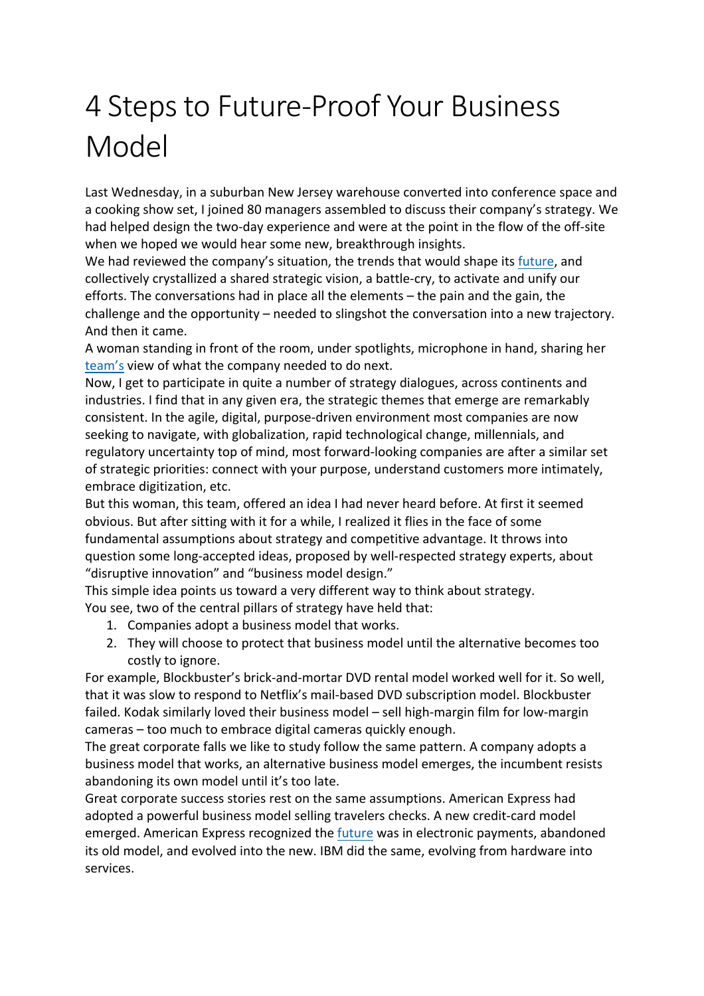## 4 Steps to Future-Proof Your Business Model

Last Wednesday, in a suburban New Jersey warehouse converted into conference space and a cooking show set, I joined 80 managers assembled to discuss their company's strategy. We had helped design the two-day experience and were at the point in the flow of the off-site when we hoped we would hear some new, breakthrough insights.

We had reviewed the company's situation, the trends that would shape its future, and collectively crystallized a shared strategic vision, a battle-cry, to activate and unify our efforts. The conversations had in place all the elements  $-$  the pain and the gain, the challenge and the opportunity – needed to slingshot the conversation into a new trajectory. And then it came.

A woman standing in front of the room, under spotlights, microphone in hand, sharing her team's view of what the company needed to do next.

Now, I get to participate in quite a number of strategy dialogues, across continents and industries. I find that in any given era, the strategic themes that emerge are remarkably consistent. In the agile, digital, purpose-driven environment most companies are now seeking to navigate, with globalization, rapid technological change, millennials, and regulatory uncertainty top of mind, most forward-looking companies are after a similar set of strategic priorities: connect with your purpose, understand customers more intimately, embrace digitization, etc.

But this woman, this team, offered an idea I had never heard before. At first it seemed obvious. But after sitting with it for a while, I realized it flies in the face of some fundamental assumptions about strategy and competitive advantage. It throws into question some long-accepted ideas, proposed by well-respected strategy experts, about "disruptive innovation" and "business model design."

This simple idea points us toward a very different way to think about strategy. You see, two of the central pillars of strategy have held that:

- 1. Companies adopt a business model that works.
- 2. They will choose to protect that business model until the alternative becomes too costly to ignore.

For example, Blockbuster's brick-and-mortar DVD rental model worked well for it. So well, that it was slow to respond to Netflix's mail-based DVD subscription model. Blockbuster failed. Kodak similarly loved their business model – sell high-margin film for low-margin cameras - too much to embrace digital cameras quickly enough.

The great corporate falls we like to study follow the same pattern. A company adopts a business model that works, an alternative business model emerges, the incumbent resists abandoning its own model until it's too late.

Great corporate success stories rest on the same assumptions. American Express had adopted a powerful business model selling travelers checks. A new credit-card model emerged. American Express recognized the future was in electronic payments, abandoned its old model, and evolved into the new. IBM did the same, evolving from hardware into services.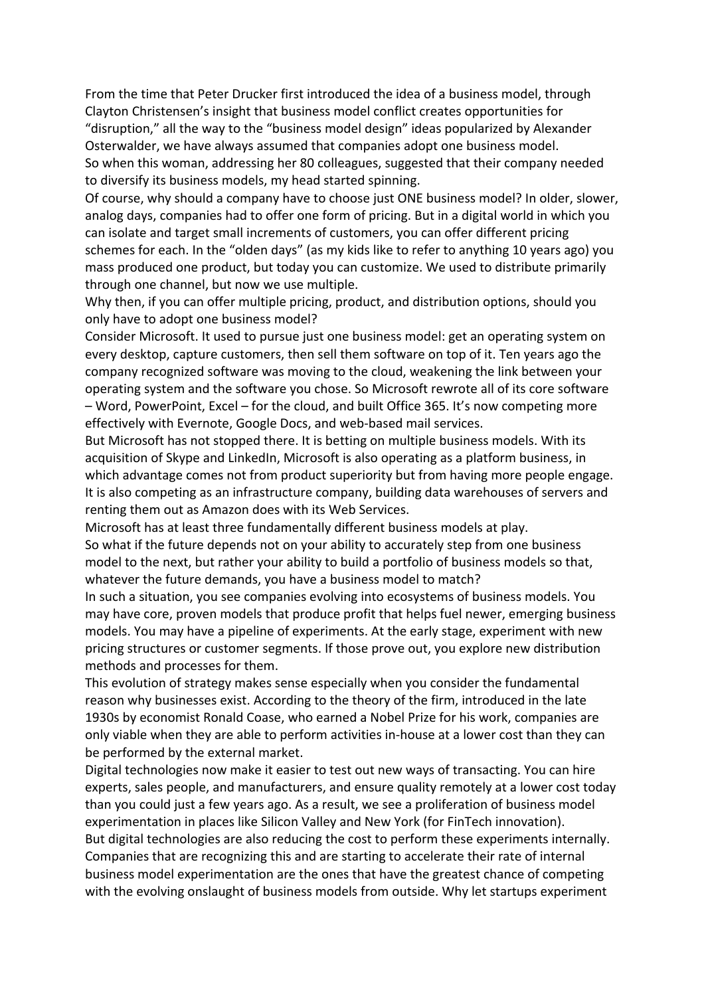From the time that Peter Drucker first introduced the idea of a business model, through Clayton Christensen's insight that business model conflict creates opportunities for "disruption," all the way to the "business model design" ideas popularized by Alexander Osterwalder, we have always assumed that companies adopt one business model. So when this woman, addressing her 80 colleagues, suggested that their company needed to diversify its business models, my head started spinning.

Of course, why should a company have to choose just ONE business model? In older, slower, analog days, companies had to offer one form of pricing. But in a digital world in which you can isolate and target small increments of customers, you can offer different pricing schemes for each. In the "olden days" (as my kids like to refer to anything 10 years ago) you mass produced one product, but today you can customize. We used to distribute primarily through one channel, but now we use multiple.

Why then, if you can offer multiple pricing, product, and distribution options, should you only have to adopt one business model?

Consider Microsoft. It used to pursue just one business model: get an operating system on every desktop, capture customers, then sell them software on top of it. Ten years ago the company recognized software was moving to the cloud, weakening the link between your operating system and the software you chose. So Microsoft rewrote all of its core software – Word, PowerPoint, Excel – for the cloud, and built Office 365. It's now competing more effectively with Evernote, Google Docs, and web-based mail services.

But Microsoft has not stopped there. It is betting on multiple business models. With its acquisition of Skype and LinkedIn, Microsoft is also operating as a platform business, in which advantage comes not from product superiority but from having more people engage. It is also competing as an infrastructure company, building data warehouses of servers and renting them out as Amazon does with its Web Services.

Microsoft has at least three fundamentally different business models at play.

So what if the future depends not on your ability to accurately step from one business model to the next, but rather your ability to build a portfolio of business models so that, whatever the future demands, you have a business model to match?

In such a situation, you see companies evolving into ecosystems of business models. You may have core, proven models that produce profit that helps fuel newer, emerging business models. You may have a pipeline of experiments. At the early stage, experiment with new pricing structures or customer segments. If those prove out, you explore new distribution methods and processes for them.

This evolution of strategy makes sense especially when you consider the fundamental reason why businesses exist. According to the theory of the firm, introduced in the late 1930s by economist Ronald Coase, who earned a Nobel Prize for his work, companies are only viable when they are able to perform activities in-house at a lower cost than they can be performed by the external market.

Digital technologies now make it easier to test out new ways of transacting. You can hire experts, sales people, and manufacturers, and ensure quality remotely at a lower cost today than you could just a few years ago. As a result, we see a proliferation of business model experimentation in places like Silicon Valley and New York (for FinTech innovation). But digital technologies are also reducing the cost to perform these experiments internally. Companies that are recognizing this and are starting to accelerate their rate of internal business model experimentation are the ones that have the greatest chance of competing with the evolving onslaught of business models from outside. Why let startups experiment